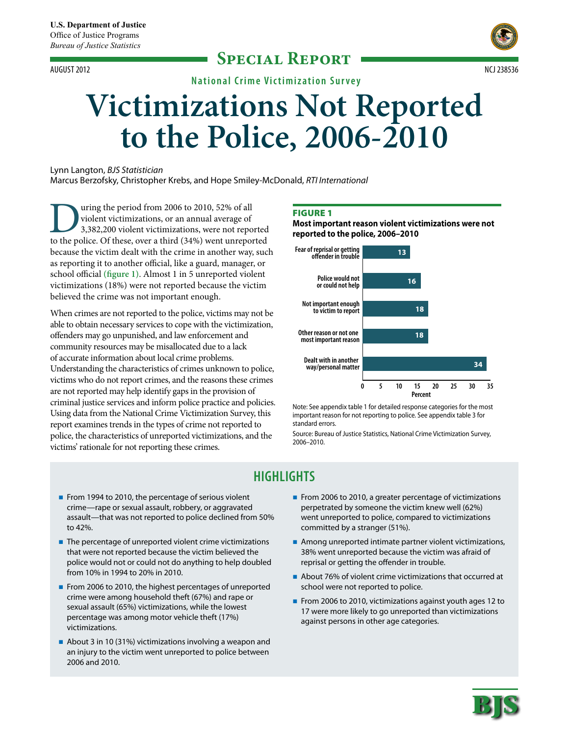### **Special Report** August 2012 ncj 238536



**National Crime Victimization S urvey**

# **Victimizations Not Reported to the Police, 2006-2010**

Lynn Langton, *BJS Statistician* Marcus Berzofsky, Christopher Krebs, and Hope Smiley-McDonald, *RTI International*

U uring the period from 2006 to 2010, 52% of all violent victimizations, or an annual average of 3,382,200 violent victimizations, were not reported to the police. Of these, over a third (34%) went unreported violent victimizations, or an annual average of 3,382,200 violent victimizations, were not reported because the victim dealt with the crime in another way, such as reporting it to another official, like a guard, manager, or school official **(figure 1)**. Almost 1 in 5 unreported violent victimizations (18%) were not reported because the victim believed the crime was not important enough.

When crimes are not reported to the police, victims may not be able to obtain necessary services to cope with the victimization, offenders may go unpunished, and law enforcement and community resources may be misallocated due to a lack of accurate information about local crime problems. Understanding the characteristics of crimes unknown to police, victims who do not report crimes, and the reasons these crimes are not reported may help identify gaps in the provision of criminal justice services and inform police practice and policies. Using data from the National Crime Victimization Survey, this report examines trends in the types of crime not reported to police, the characteristics of unreported victimizations, and the victims' rationale for not reporting these crimes.

#### **FIGURE 1**

**Most important reason violent victimizations were not reported to the police, 2006–2010**



Note: See appendix table 1 for detailed response categories for the most important reason for not reporting to police. See appendix table 3 for standard errors.

Source: Bureau of Justice Statistics, National Crime Victimization Survey, 2006–2010.

## **Highlights**

- From 1994 to 2010, the percentage of serious violent crime—rape or sexual assault, robbery, or aggravated assault—that was not reported to police declined from 50% to 42%.
- The percentage of unreported violent crime victimizations that were not reported because the victim believed the police would not or could not do anything to help doubled from 10% in 1994 to 20% in 2010.
- From 2006 to 2010, the highest percentages of unreported crime were among household theft (67%) and rape or sexual assault (65%) victimizations, while the lowest percentage was among motor vehicle theft (17%) victimizations.
- About 3 in 10 (31%) victimizations involving a weapon and an injury to the victim went unreported to police between 2006 and 2010.
- From 2006 to 2010, a greater percentage of victimizations perpetrated by someone the victim knew well (62%) went unreported to police, compared to victimizations committed by a stranger (51%).
- **Among unreported intimate partner violent victimizations,** 38% went unreported because the victim was afraid of reprisal or getting the offender in trouble.
- About 76% of violent crime victimizations that occurred at school were not reported to police.
- From 2006 to 2010, victimizations against youth ages 12 to 17 were more likely to go unreported than victimizations against persons in other age categories.

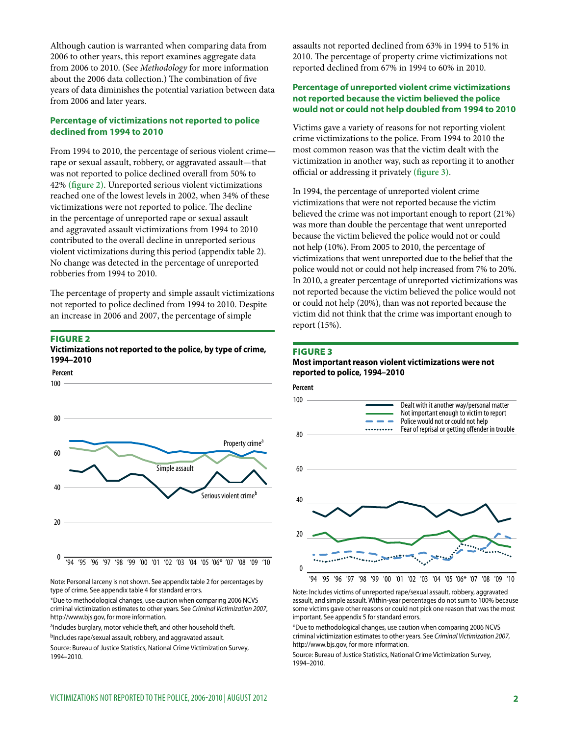Although caution is warranted when comparing data from 2006 to other years, this report examines aggregate data from 2006 to 2010. (See *Methodology* for more information about the 2006 data collection.) The combination of five years of data diminishes the potential variation between data from 2006 and later years.

#### **Percentage of victimizations not reported to police declined from 1994 to 2010**

From 1994 to 2010, the percentage of serious violent crime rape or sexual assault, robbery, or aggravated assault—that was not reported to police declined overall from 50% to 42% **(figure 2)**. Unreported serious violent victimizations reached one of the lowest levels in 2002, when 34% of these victimizations were not reported to police. The decline in the percentage of unreported rape or sexual assault and aggravated assault victimizations from 1994 to 2010 contributed to the overall decline in unreported serious violent victimizations during this period (appendix table 2). No change was detected in the percentage of unreported robberies from 1994 to 2010.

The percentage of property and simple assault victimizations not reported to police declined from 1994 to 2010. Despite an increase in 2006 and 2007, the percentage of simple

#### Figure 2

#### **Victimizations not reported to the police, by type of crime, 1994–2010**



Note: Personal larceny is not shown. See appendix table 2 for percentages by type of crime. See appendix table 4 for standard errors.

\*Due to methodological changes, use caution when comparing 2006 NCVS criminal victimization estimates to other years. See *Criminal Victimization 2007*, http://www.bjs.gov, for more information.

aIncludes burglary, motor vehicle theft, and other household theft. bIncludes rape/sexual assault, robbery, and aggravated assault.

Source: Bureau of Justice Statistics, National Crime Victimization Survey, 1994–2010.

assaults not reported declined from 63% in 1994 to 51% in 2010. The percentage of property crime victimizations not reported declined from 67% in 1994 to 60% in 2010.

#### **Percentage of unreported violent crime victimizations not reported because the victim believed the police would not or could not help doubled from 1994 to 2010**

Victims gave a variety of reasons for not reporting violent crime victimizations to the police. From 1994 to 2010 the most common reason was that the victim dealt with the victimization in another way, such as reporting it to another official or addressing it privately **(figure 3)**.

In 1994, the percentage of unreported violent crime victimizations that were not reported because the victim believed the crime was not important enough to report (21%) was more than double the percentage that went unreported because the victim believed the police would not or could not help (10%). From 2005 to 2010, the percentage of victimizations that went unreported due to the belief that the police would not or could not help increased from 7% to 20%. In 2010, a greater percentage of unreported victimizations was not reported because the victim believed the police would not or could not help (20%), than was not reported because the victim did not think that the crime was important enough to report (15%).

#### Figure 3

#### **Most important reason violent victimizations were not reported to police, 1994–2010**





Note: Includes victims of unreported rape/sexual assault, robbery, aggravated assault, and simple assault. Within-year percentages do not sum to 100% because some victims gave other reasons or could not pick one reason that was the most important. See appendix 5 for standard errors.

\*Due to methodological changes, use caution when comparing 2006 NCVS criminal victimization estimates to other years. See *Criminal Victimization 2007*, http://www.bjs.gov, for more information.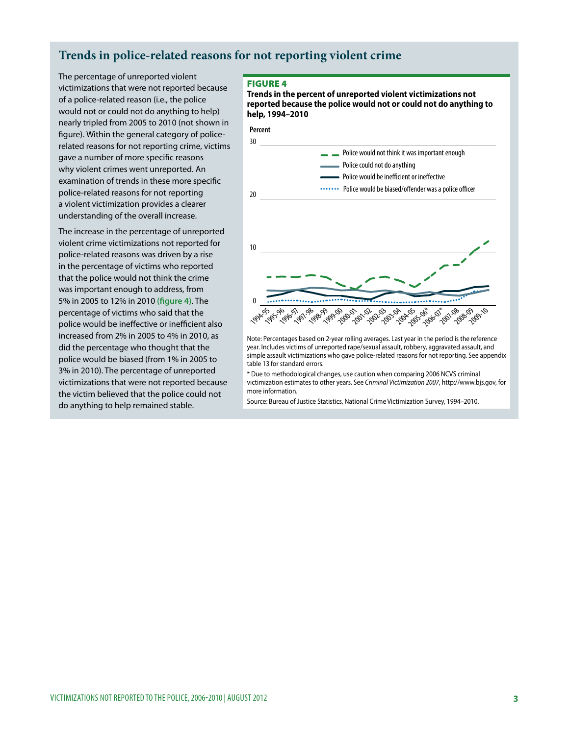## **Trends in police-related reasons for not reporting violent crime**

The percentage of unreported violent victimizations that were not reported because of a police-related reason (i.e., the police would not or could not do anything to help) nearly tripled from 2005 to 2010 (not shown in figure). Within the general category of policerelated reasons for not reporting crime, victims gave a number of more specific reasons why violent crimes went unreported. An examination of trends in these more specific police-related reasons for not reporting a violent victimization provides a clearer understanding of the overall increase.

The increase in the percentage of unreported violent crime victimizations not reported for police-related reasons was driven by a rise in the percentage of victims who reported that the police would not think the crime was important enough to address, from 5% in 2005 to 12% in 2010 **(figure 4)**. The percentage of victims who said that the police would be ineffective or inefficient also increased from 2% in 2005 to 4% in 2010, as did the percentage who thought that the police would be biased (from 1% in 2005 to 3% in 2010). The percentage of unreported victimizations that were not reported because the victim believed that the police could not do anything to help remained stable.

#### Figure 4

**Trends in the percent of unreported violent victimizations not reported because the police would not or could not do anything to help, 1994–2010**



year. Includes victims of unreported rape/sexual assault, robbery, aggravated assault, and simple assault victimizations who gave police-related reasons for not reporting. See appendix table 13 for standard errors.

\* Due to methodological changes, use caution when comparing 2006 NCVS criminal victimization estimates to other years. See *Criminal Victimization 2007*, http://www.bjs.gov, for more information.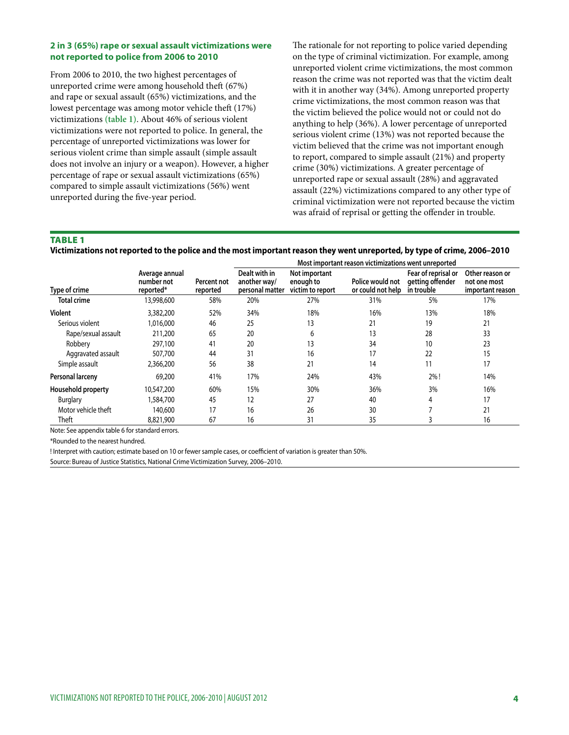#### **2 in 3 (65%) rape or sexual assault victimizations were not reported to police from 2006 to 2010**

From 2006 to 2010, the two highest percentages of unreported crime were among household theft (67%) and rape or sexual assault (65%) victimizations, and the lowest percentage was among motor vehicle theft (17%) victimizations **(table 1)**. About 46% of serious violent victimizations were not reported to police. In general, the percentage of unreported victimizations was lower for serious violent crime than simple assault (simple assault does not involve an injury or a weapon). However, a higher percentage of rape or sexual assault victimizations (65%) compared to simple assault victimizations (56%) went unreported during the five-year period.

The rationale for not reporting to police varied depending on the type of criminal victimization. For example, among unreported violent crime victimizations, the most common reason the crime was not reported was that the victim dealt with it in another way (34%). Among unreported property crime victimizations, the most common reason was that the victim believed the police would not or could not do anything to help (36%). A lower percentage of unreported serious violent crime (13%) was not reported because the victim believed that the crime was not important enough to report, compared to simple assault (21%) and property crime (30%) victimizations. A greater percentage of unreported rape or sexual assault (28%) and aggravated assault (22%) victimizations compared to any other type of criminal victimization were not reported because the victim was afraid of reprisal or getting the offender in trouble.

#### **TABLE 1**

| Victimizations not reported to the police and the most important reason they went unreported, by type of crime, 2006-2010 |  |  |
|---------------------------------------------------------------------------------------------------------------------------|--|--|
|                                                                                                                           |  |  |

|                     |                                           |                         | Most important reason victimizations went unreported |                                                |                                       |                                                       |                                                     |  |
|---------------------|-------------------------------------------|-------------------------|------------------------------------------------------|------------------------------------------------|---------------------------------------|-------------------------------------------------------|-----------------------------------------------------|--|
| Type of crime       | Average annual<br>number not<br>reported* | Percent not<br>reported | Dealt with in<br>another way/<br>personal matter     | Not important<br>enough to<br>victim to report | Police would not<br>or could not help | Fear of reprisal or<br>getting offender<br>in trouble | Other reason or<br>not one most<br>important reason |  |
| <b>Total crime</b>  | 13,998,600                                | 58%                     | 20%                                                  | 27%                                            | 31%                                   | 5%                                                    | 17%                                                 |  |
| Violent             | 3,382,200                                 | 52%                     | 34%                                                  | 18%                                            | 16%                                   | 13%                                                   | 18%                                                 |  |
| Serious violent     | 1,016,000                                 | 46                      | 25                                                   | 13                                             | 21                                    | 19                                                    | 21                                                  |  |
| Rape/sexual assault | 211,200                                   | 65                      | 20                                                   | 6                                              | 13                                    | 28                                                    | 33                                                  |  |
| Robbery             | 297,100                                   | 41                      | 20                                                   | 13                                             | 34                                    | 10                                                    | 23                                                  |  |
| Aggravated assault  | 507,700                                   | 44                      | 31                                                   | 16                                             | 17                                    | 22                                                    | 15                                                  |  |
| Simple assault      | 2,366,200                                 | 56                      | 38                                                   | 21                                             | 14                                    | 11                                                    | 17                                                  |  |
| Personal larceny    | 69,200                                    | 41%                     | 17%                                                  | 24%                                            | 43%                                   | 2%!                                                   | 14%                                                 |  |
| Household property  | 10,547,200                                | 60%                     | 15%                                                  | 30%                                            | 36%                                   | 3%                                                    | 16%                                                 |  |
| <b>Burglary</b>     | 1,584,700                                 | 45                      | 12                                                   | 27                                             | 40                                    | 4                                                     | 17                                                  |  |
| Motor vehicle theft | 140,600                                   | 17                      | 16                                                   | 26                                             | 30                                    |                                                       | 21                                                  |  |
| Theft               | 8,821,900                                 | 67                      | 16                                                   | 31                                             | 35                                    | 3                                                     | 16                                                  |  |

Note: See appendix table 6 for standard errors.

\*Rounded to the nearest hundred.

! Interpret with caution; estimate based on 10 or fewer sample cases, or coefficient of variation is greater than 50%.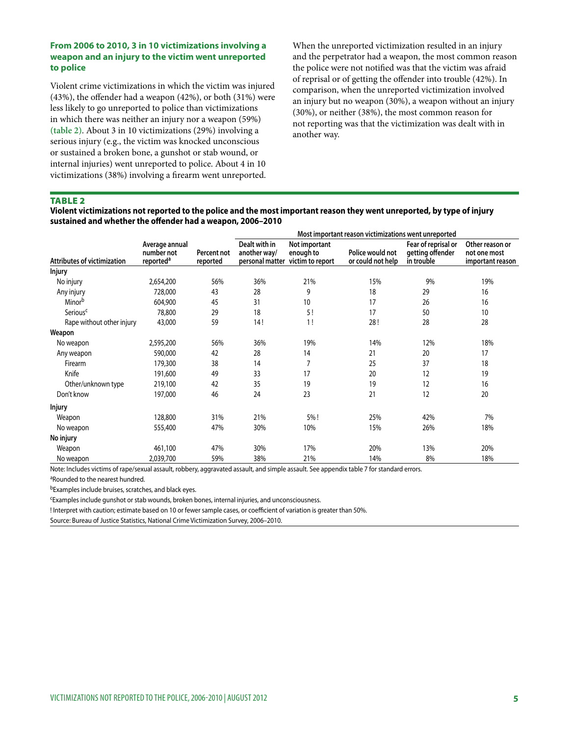#### **From 2006 to 2010, 3 in 10 victimizations involving a weapon and an injury to the victim went unreported to police**

Violent crime victimizations in which the victim was injured (43%), the offender had a weapon (42%), or both (31%) were less likely to go unreported to police than victimizations in which there was neither an injury nor a weapon (59%) **(table 2)**. About 3 in 10 victimizations (29%) involving a serious injury (e.g., the victim was knocked unconscious or sustained a broken bone, a gunshot or stab wound, or internal injuries) went unreported to police. About 4 in 10 victimizations (38%) involving a firearm went unreported.

When the unreported victimization resulted in an injury and the perpetrator had a weapon, the most common reason the police were not notified was that the victim was afraid of reprisal or of getting the offender into trouble (42%). In comparison, when the unreported victimization involved an injury but no weapon (30%), a weapon without an injury (30%), or neither (38%), the most common reason for not reporting was that the victimization was dealt with in another way.

#### **TABLE 2**

**Violent victimizations not reported to the police and the most important reason they went unreported, by type of injury sustained and whether the offender had a weapon, 2006–2010**

|                                    |                                                       |                         | Most important reason victimizations went unreported |                                                                |                                       |                                                       |                                                     |  |  |
|------------------------------------|-------------------------------------------------------|-------------------------|------------------------------------------------------|----------------------------------------------------------------|---------------------------------------|-------------------------------------------------------|-----------------------------------------------------|--|--|
| <b>Attributes of victimization</b> | Average annual<br>number not<br>reported <sup>a</sup> | Percent not<br>reported | Dealt with in<br>another way/                        | Not important<br>enough to<br>personal matter victim to report | Police would not<br>or could not help | Fear of reprisal or<br>getting offender<br>in trouble | Other reason or<br>not one most<br>important reason |  |  |
| <b>Injury</b>                      |                                                       |                         |                                                      |                                                                |                                       |                                                       |                                                     |  |  |
| No injury                          | 2,654,200                                             | 56%                     | 36%                                                  | 21%                                                            | 15%                                   | 9%                                                    | 19%                                                 |  |  |
| Any injury                         | 728,000                                               | 43                      | 28                                                   | 9                                                              | 18                                    | 29                                                    | 16                                                  |  |  |
| Minorb                             | 604,900                                               | 45                      | 31                                                   | 10                                                             | 17                                    | 26                                                    | 16                                                  |  |  |
| Serious <sup>c</sup>               | 78,800                                                | 29                      | 18                                                   | 5!                                                             | 17                                    | 50                                                    | 10                                                  |  |  |
| Rape without other injury          | 43,000                                                | 59                      | 14!                                                  | 1!                                                             | 28!                                   | 28                                                    | 28                                                  |  |  |
| Weapon                             |                                                       |                         |                                                      |                                                                |                                       |                                                       |                                                     |  |  |
| No weapon                          | 2,595,200                                             | 56%                     | 36%                                                  | 19%                                                            | 14%                                   | 12%                                                   | 18%                                                 |  |  |
| Any weapon                         | 590,000                                               | 42                      | 28                                                   | 14                                                             | 21                                    | 20                                                    | 17                                                  |  |  |
| Firearm                            | 179,300                                               | 38                      | 14                                                   | 7                                                              | 25                                    | 37                                                    | 18                                                  |  |  |
| Knife                              | 191,600                                               | 49                      | 33                                                   | 17                                                             | 20                                    | 12                                                    | 19                                                  |  |  |
| Other/unknown type                 | 219,100                                               | 42                      | 35                                                   | 19                                                             | 19                                    | 12                                                    | 16                                                  |  |  |
| Don't know                         | 197,000                                               | 46                      | 24                                                   | 23                                                             | 21                                    | 12                                                    | 20                                                  |  |  |
| <b>Injury</b>                      |                                                       |                         |                                                      |                                                                |                                       |                                                       |                                                     |  |  |
| Weapon                             | 128,800                                               | 31%                     | 21%                                                  | 5%!                                                            | 25%                                   | 42%                                                   | 7%                                                  |  |  |
| No weapon                          | 555,400                                               | 47%                     | 30%                                                  | 10%                                                            | 15%                                   | 26%                                                   | 18%                                                 |  |  |
| No injury                          |                                                       |                         |                                                      |                                                                |                                       |                                                       |                                                     |  |  |
| Weapon                             | 461,100                                               | 47%                     | 30%                                                  | 17%                                                            | 20%                                   | 13%                                                   | 20%                                                 |  |  |
| No weapon                          | 2,039,700                                             | 59%                     | 38%                                                  | 21%                                                            | 14%                                   | 8%                                                    | 18%                                                 |  |  |

Note: Includes victims of rape/sexual assault, robbery, aggravated assault, and simple assault. See appendix table 7 for standard errors.

aRounded to the nearest hundred.

bExamples include bruises, scratches, and black eyes.

cExamples include gunshot or stab wounds, broken bones, internal injuries, and unconsciousness.

! Interpret with caution; estimate based on 10 or fewer sample cases, or coefficient of variation is greater than 50%.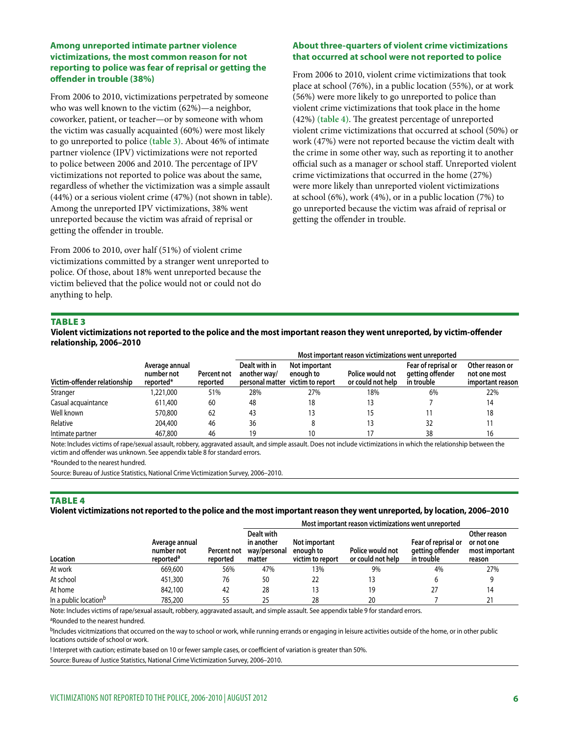#### **Among unreported intimate partner violence victimizations, the most common reason for not reporting to police was fear of reprisal or getting the offender in trouble (38%)**

From 2006 to 2010, victimizations perpetrated by someone who was well known to the victim (62%)—a neighbor, coworker, patient, or teacher—or by someone with whom the victim was casually acquainted (60%) were most likely to go unreported to police **(table 3)**. About 46% of intimate partner violence (IPV) victimizations were not reported to police between 2006 and 2010. The percentage of IPV victimizations not reported to police was about the same, regardless of whether the victimization was a simple assault (44%) or a serious violent crime (47%) (not shown in table). Among the unreported IPV victimizations, 38% went unreported because the victim was afraid of reprisal or getting the offender in trouble.

From 2006 to 2010, over half (51%) of violent crime victimizations committed by a stranger went unreported to police. Of those, about 18% went unreported because the victim believed that the police would not or could not do anything to help.

#### **About three-quarters of violent crime victimizations that occurred at school were not reported to police**

From 2006 to 2010, violent crime victimizations that took place at school (76%), in a public location (55%), or at work (56%) were more likely to go unreported to police than violent crime victimizations that took place in the home (42%) **(table 4)**. The greatest percentage of unreported violent crime victimizations that occurred at school (50%) or work (47%) were not reported because the victim dealt with the crime in some other way, such as reporting it to another official such as a manager or school staff. Unreported violent crime victimizations that occurred in the home (27%) were more likely than unreported violent victimizations at school (6%), work (4%), or in a public location (7%) to go unreported because the victim was afraid of reprisal or getting the offender in trouble.

#### **TABLE 3**

**Violent victimizations not reported to the police and the most important reason they went unreported, by victim-offender relationship, 2006–2010**

|                              |                                           |                         | Most important reason victimizations went unreported |                                                                |                                       |                                                       |                                                     |  |  |
|------------------------------|-------------------------------------------|-------------------------|------------------------------------------------------|----------------------------------------------------------------|---------------------------------------|-------------------------------------------------------|-----------------------------------------------------|--|--|
| Victim-offender relationship | Average annual<br>number not<br>reported* | Percent not<br>reported | Dealt with in<br>another way/                        | Not important<br>enough to<br>personal matter victim to report | Police would not<br>or could not help | Fear of reprisal or<br>getting offender<br>in trouble | Other reason or<br>not one most<br>important reason |  |  |
| Stranger                     | ,221,000                                  | 51%                     | 28%                                                  | 27%                                                            | 18%                                   | 6%                                                    | 22%                                                 |  |  |
| Casual acquaintance          | 611,400                                   | 60                      | 48                                                   | 18                                                             |                                       |                                                       | 14                                                  |  |  |
| Well known                   | 570,800                                   | 62                      | 43                                                   |                                                                |                                       |                                                       | 18                                                  |  |  |
| Relative                     | 204,400                                   | 46                      | 36                                                   |                                                                |                                       | 32                                                    |                                                     |  |  |
| Intimate partner             | 467,800                                   | 46                      | 19                                                   | 10                                                             |                                       | 38                                                    | 16                                                  |  |  |

Note: Includes victims of rape/sexual assault, robbery, aggravated assault, and simple assault. Does not include victimizations in which the relationship between the victim and offender was unknown. See appendix table 8 for standard errors.

\*Rounded to the nearest hundred.

Source: Bureau of Justice Statistics, National Crime Victimization Survey, 2006–2010.

#### **TABLE 4**

#### **Violent victimizations not reported to the police and the most important reason they went unreported, by location, 2006–2010**

|                                   |                                                       |                         |                                                    |                                                | Most important reason victimizations went unreported |                                                       |                                                        |  |
|-----------------------------------|-------------------------------------------------------|-------------------------|----------------------------------------------------|------------------------------------------------|------------------------------------------------------|-------------------------------------------------------|--------------------------------------------------------|--|
| Location                          | Average annual<br>number not<br>reported <sup>a</sup> | Percent not<br>reported | Dealt with<br>in another<br>way/personal<br>matter | Not important<br>enough to<br>victim to report | Police would not<br>or could not help                | Fear of reprisal or<br>getting offender<br>in trouble | Other reason<br>or not one<br>most important<br>reason |  |
| At work                           | 669,600                                               | 56%                     | 47%                                                | 13%                                            | 9%                                                   | 4%                                                    | 27%                                                    |  |
| At school                         | 451,300                                               | 76                      | 50                                                 | 22                                             | 13                                                   |                                                       |                                                        |  |
| At home                           | 842,100                                               | 42                      | 28                                                 | 13                                             | 19                                                   |                                                       | 14                                                     |  |
| In a public location <sup>b</sup> | 785,200                                               | 55                      | 25                                                 | 28                                             | 20                                                   |                                                       |                                                        |  |

Note: Includes victims of rape/sexual assault, robbery, aggravated assault, and simple assault. See appendix table 9 for standard errors.

aRounded to the nearest hundred.

bIncludes vicitmizations that occurred on the way to school or work, while running errands or engaging in leisure activities outside of the home, or in other public locations outside of school or work.

! Interpret with caution; estimate based on 10 or fewer sample cases, or coefficient of variation is greater than 50%.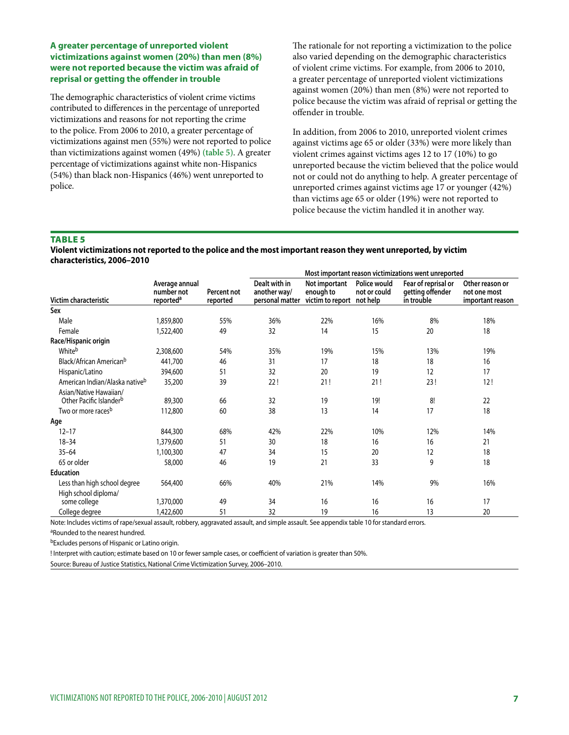#### **A greater percentage of unreported violent victimizations against women (20%) than men (8%) were not reported because the victim was afraid of reprisal or getting the offender in trouble**

The demographic characteristics of violent crime victims contributed to differences in the percentage of unreported victimizations and reasons for not reporting the crime to the police. From 2006 to 2010, a greater percentage of victimizations against men (55%) were not reported to police than victimizations against women (49%) **(table 5)**. A greater percentage of victimizations against white non-Hispanics (54%) than black non-Hispanics (46%) went unreported to police.

The rationale for not reporting a victimization to the police also varied depending on the demographic characteristics of violent crime victims. For example, from 2006 to 2010, a greater percentage of unreported violent victimizations against women (20%) than men (8%) were not reported to police because the victim was afraid of reprisal or getting the offender in trouble.

In addition, from 2006 to 2010, unreported violent crimes against victims age 65 or older (33%) were more likely than violent crimes against victims ages 12 to 17 (10%) to go unreported because the victim believed that the police would not or could not do anything to help. A greater percentage of unreported crimes against victims age 17 or younger (42%) than victims age 65 or older (19%) were not reported to police because the victim handled it in another way.

#### **TABLE 5**

**Violent victimizations not reported to the police and the most important reason they went unreported, by victim characteristics, 2006–2010**

|                                                               |                                                       |                         | Most important reason victimizations went unreported |                                                |                                          |                                                       |                                                     |  |  |
|---------------------------------------------------------------|-------------------------------------------------------|-------------------------|------------------------------------------------------|------------------------------------------------|------------------------------------------|-------------------------------------------------------|-----------------------------------------------------|--|--|
| Victim characteristic                                         | Average annual<br>number not<br>reported <sup>a</sup> | Percent not<br>reported | Dealt with in<br>another way/<br>personal matter     | Not important<br>enough to<br>victim to report | Police would<br>not or could<br>not help | Fear of reprisal or<br>getting offender<br>in trouble | Other reason or<br>not one most<br>important reason |  |  |
| Sex                                                           |                                                       |                         |                                                      |                                                |                                          |                                                       |                                                     |  |  |
| Male                                                          | 1,859,800                                             | 55%                     | 36%                                                  | 22%                                            | 16%                                      | 8%                                                    | 18%                                                 |  |  |
| Female                                                        | 1,522,400                                             | 49                      | 32                                                   | 14                                             | 15                                       | 20                                                    | 18                                                  |  |  |
| Race/Hispanic origin                                          |                                                       |                         |                                                      |                                                |                                          |                                                       |                                                     |  |  |
| Whiteb                                                        | 2,308,600                                             | 54%                     | 35%                                                  | 19%                                            | 15%                                      | 13%                                                   | 19%                                                 |  |  |
| Black/African American <sup>b</sup>                           | 441,700                                               | 46                      | 31                                                   | 17                                             | 18                                       | 18                                                    | 16                                                  |  |  |
| Hispanic/Latino                                               | 394,600                                               | 51                      | 32                                                   | 20                                             | 19                                       | 12                                                    | 17                                                  |  |  |
| American Indian/Alaska nativeb                                | 35,200                                                | 39                      | 22!                                                  | 21!                                            | 21!                                      | 23!                                                   | 12!                                                 |  |  |
| Asian/Native Hawaiian/<br>Other Pacific Islander <sup>b</sup> | 89,300                                                | 66                      | 32                                                   | 19                                             | 19!                                      | 8!                                                    | 22                                                  |  |  |
| Two or more races <sup>b</sup>                                | 112,800                                               | 60                      | 38                                                   | 13                                             | 14                                       | 17                                                    | 18                                                  |  |  |
| Age                                                           |                                                       |                         |                                                      |                                                |                                          |                                                       |                                                     |  |  |
| $12 - 17$                                                     | 844,300                                               | 68%                     | 42%                                                  | 22%                                            | 10%                                      | 12%                                                   | 14%                                                 |  |  |
| $18 - 34$                                                     | 1,379,600                                             | 51                      | 30                                                   | 18                                             | 16                                       | 16                                                    | 21                                                  |  |  |
| $35 - 64$                                                     | 1,100,300                                             | 47                      | 34                                                   | 15                                             | 20                                       | 12                                                    | 18                                                  |  |  |
| 65 or older                                                   | 58,000                                                | 46                      | 19                                                   | 21                                             | 33                                       | 9                                                     | 18                                                  |  |  |
| <b>Education</b>                                              |                                                       |                         |                                                      |                                                |                                          |                                                       |                                                     |  |  |
| Less than high school degree                                  | 564,400                                               | 66%                     | 40%                                                  | 21%                                            | 14%                                      | 9%                                                    | 16%                                                 |  |  |
| High school diploma/<br>some college                          | 1,370,000                                             | 49                      | 34                                                   | 16                                             | 16                                       | 16                                                    | 17                                                  |  |  |
| College degree                                                | 1,422,600                                             | 51                      | 32                                                   | 19                                             | 16                                       | 13                                                    | 20                                                  |  |  |

Note: Includes victims of rape/sexual assault, robbery, aggravated assault, and simple assault. See appendix table 10 for standard errors.

aRounded to the nearest hundred.

bExcludes persons of Hispanic or Latino origin.

! Interpret with caution; estimate based on 10 or fewer sample cases, or coefficient of variation is greater than 50%.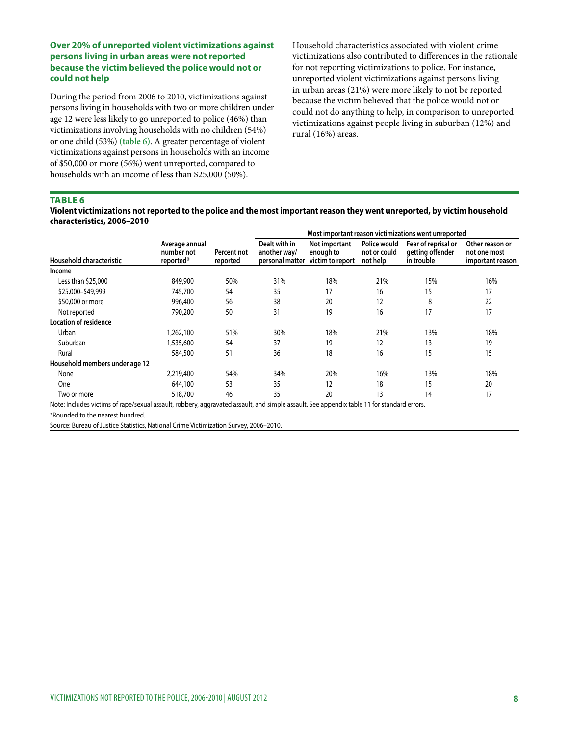#### **Over 20% of unreported violent victimizations against persons living in urban areas were not reported because the victim believed the police would not or could not help**

During the period from 2006 to 2010, victimizations against persons living in households with two or more children under age 12 were less likely to go unreported to police (46%) than victimizations involving households with no children (54%) or one child (53%) **(table 6)**. A greater percentage of violent victimizations against persons in households with an income of \$50,000 or more (56%) went unreported, compared to households with an income of less than \$25,000 (50%).

Household characteristics associated with violent crime victimizations also contributed to differences in the rationale for not reporting victimizations to police. For instance, unreported violent victimizations against persons living in urban areas (21%) were more likely to not be reported because the victim believed that the police would not or could not do anything to help, in comparison to unreported victimizations against people living in suburban (12%) and rural (16%) areas.

#### TABLE<sub>6</sub>

**Violent victimizations not reported to the police and the most important reason they went unreported, by victim household characteristics, 2006–2010**

|                                |                                           |                         | Most important reason victimizations went unreported |                                                |                                          |                                                       |                                                     |  |
|--------------------------------|-------------------------------------------|-------------------------|------------------------------------------------------|------------------------------------------------|------------------------------------------|-------------------------------------------------------|-----------------------------------------------------|--|
| Household characteristic       | Average annual<br>number not<br>reported* | Percent not<br>reported | Dealt with in<br>another way/<br>personal matter     | Not important<br>enough to<br>victim to report | Police would<br>not or could<br>not help | Fear of reprisal or<br>getting offender<br>in trouble | Other reason or<br>not one most<br>important reason |  |
| Income                         |                                           |                         |                                                      |                                                |                                          |                                                       |                                                     |  |
| Less than \$25,000             | 849,900                                   | 50%                     | 31%                                                  | 18%                                            | 21%                                      | 15%                                                   | 16%                                                 |  |
| \$25,000-\$49,999              | 745,700                                   | 54                      | 35                                                   | 17                                             | 16                                       | 15                                                    | 17                                                  |  |
| \$50,000 or more               | 996,400                                   | 56                      | 38                                                   | 20                                             | 12                                       | 8                                                     | 22                                                  |  |
| Not reported                   | 790,200                                   | 50                      | 31                                                   | 19                                             | 16                                       | 17                                                    | 17                                                  |  |
| Location of residence          |                                           |                         |                                                      |                                                |                                          |                                                       |                                                     |  |
| Urban                          | 1,262,100                                 | 51%                     | 30%                                                  | 18%                                            | 21%                                      | 13%                                                   | 18%                                                 |  |
| Suburban                       | 1,535,600                                 | 54                      | 37                                                   | 19                                             | 12                                       | 13                                                    | 19                                                  |  |
| Rural                          | 584,500                                   | 51                      | 36                                                   | 18                                             | 16                                       | 15                                                    | 15                                                  |  |
| Household members under age 12 |                                           |                         |                                                      |                                                |                                          |                                                       |                                                     |  |
| None                           | 2,219,400                                 | 54%                     | 34%                                                  | 20%                                            | 16%                                      | 13%                                                   | 18%                                                 |  |
| One                            | 644,100                                   | 53                      | 35                                                   | 12                                             | 18                                       | 15                                                    | 20                                                  |  |
| Two or more                    | 518,700                                   | 46                      | 35                                                   | 20                                             | 13                                       | 14                                                    | 17                                                  |  |

Note: Includes victims of rape/sexual assault, robbery, aggravated assault, and simple assault. See appendix table 11 for standard errors.

\*Rounded to the nearest hundred.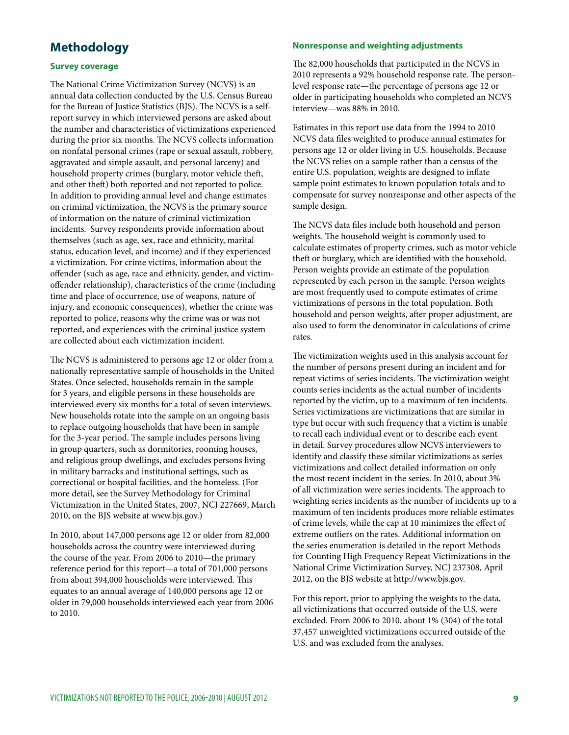## **Methodology**

#### **Survey coverage**

The National Crime Victimization Survey (NCVS) is an annual data collection conducted by the U.S. Census Bureau for the Bureau of Justice Statistics (BJS). The NCVS is a selfreport survey in which interviewed persons are asked about the number and characteristics of victimizations experienced during the prior six months. The NCVS collects information on nonfatal personal crimes (rape or sexual assault, robbery, aggravated and simple assault, and personal larceny) and household property crimes (burglary, motor vehicle theft, and other theft) both reported and not reported to police. In addition to providing annual level and change estimates on criminal victimization, the NCVS is the primary source of information on the nature of criminal victimization incidents. Survey respondents provide information about themselves (such as age, sex, race and ethnicity, marital status, education level, and income) and if they experienced a victimization. For crime victims, information about the offender (such as age, race and ethnicity, gender, and victimoffender relationship), characteristics of the crime (including time and place of occurrence, use of weapons, nature of injury, and economic consequences), whether the crime was reported to police, reasons why the crime was or was not reported, and experiences with the criminal justice system are collected about each victimization incident.

The NCVS is administered to persons age 12 or older from a nationally representative sample of households in the United States. Once selected, households remain in the sample for 3 years, and eligible persons in these households are interviewed every six months for a total of seven interviews. New households rotate into the sample on an ongoing basis to replace outgoing households that have been in sample for the 3-year period. The sample includes persons living in group quarters, such as dormitories, rooming houses, and religious group dwellings, and excludes persons living in military barracks and institutional settings, such as correctional or hospital facilities, and the homeless. (For more detail, see the Survey Methodology for Criminal Victimization in the United States, 2007, NCJ 227669, March 2010, on the BJS website at www.bjs.gov.)

In 2010, about 147,000 persons age 12 or older from 82,000 households across the country were interviewed during the course of the year. From 2006 to 2010—the primary reference period for this report—a total of 701,000 persons from about 394,000 households were interviewed. This equates to an annual average of 140,000 persons age 12 or older in 79,000 households interviewed each year from 2006 to 2010.

#### **Nonresponse and weighting adjustments**

The 82,000 households that participated in the NCVS in 2010 represents a 92% household response rate. The personlevel response rate—the percentage of persons age 12 or older in participating households who completed an NCVS interview—was 88% in 2010.

Estimates in this report use data from the 1994 to 2010 NCVS data files weighted to produce annual estimates for persons age 12 or older living in U.S. households. Because the NCVS relies on a sample rather than a census of the entire U.S. population, weights are designed to inflate sample point estimates to known population totals and to compensate for survey nonresponse and other aspects of the sample design.

The NCVS data files include both household and person weights. The household weight is commonly used to calculate estimates of property crimes, such as motor vehicle theft or burglary, which are identified with the household. Person weights provide an estimate of the population represented by each person in the sample. Person weights are most frequently used to compute estimates of crime victimizations of persons in the total population. Both household and person weights, after proper adjustment, are also used to form the denominator in calculations of crime rates.

The victimization weights used in this analysis account for the number of persons present during an incident and for repeat victims of series incidents. The victimization weight counts series incidents as the actual number of incidents reported by the victim, up to a maximum of ten incidents. Series victimizations are victimizations that are similar in type but occur with such frequency that a victim is unable to recall each individual event or to describe each event in detail. Survey procedures allow NCVS interviewers to identify and classify these similar victimizations as series victimizations and collect detailed information on only the most recent incident in the series. In 2010, about 3% of all victimization were series incidents. The approach to weighting series incidents as the number of incidents up to a maximum of ten incidents produces more reliable estimates of crime levels, while the cap at 10 minimizes the effect of extreme outliers on the rates. Additional information on the series enumeration is detailed in the report Methods for Counting High Frequency Repeat Victimizations in the National Crime Victimization Survey, NCJ 237308, April 2012, on the BJS website at http://www.bjs.gov.

For this report, prior to applying the weights to the data, all victimizations that occurred outside of the U.S. were excluded. From 2006 to 2010, about 1% (304) of the total 37,457 unweighted victimizations occurred outside of the U.S. and was excluded from the analyses.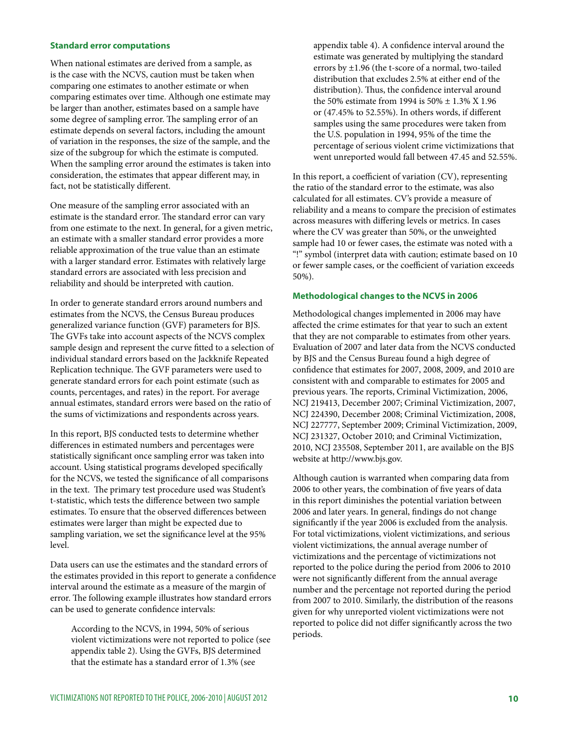#### **Standard error computations**

When national estimates are derived from a sample, as is the case with the NCVS, caution must be taken when comparing one estimates to another estimate or when comparing estimates over time. Although one estimate may be larger than another, estimates based on a sample have some degree of sampling error. The sampling error of an estimate depends on several factors, including the amount of variation in the responses, the size of the sample, and the size of the subgroup for which the estimate is computed. When the sampling error around the estimates is taken into consideration, the estimates that appear different may, in fact, not be statistically different.

One measure of the sampling error associated with an estimate is the standard error. The standard error can vary from one estimate to the next. In general, for a given metric, an estimate with a smaller standard error provides a more reliable approximation of the true value than an estimate with a larger standard error. Estimates with relatively large standard errors are associated with less precision and reliability and should be interpreted with caution.

In order to generate standard errors around numbers and estimates from the NCVS, the Census Bureau produces generalized variance function (GVF) parameters for BJS. The GVFs take into account aspects of the NCVS complex sample design and represent the curve fitted to a selection of individual standard errors based on the Jackknife Repeated Replication technique. The GVF parameters were used to generate standard errors for each point estimate (such as counts, percentages, and rates) in the report. For average annual estimates, standard errors were based on the ratio of the sums of victimizations and respondents across years.

In this report, BJS conducted tests to determine whether differences in estimated numbers and percentages were statistically significant once sampling error was taken into account. Using statistical programs developed specifically for the NCVS, we tested the significance of all comparisons in the text. The primary test procedure used was Student's t-statistic, which tests the difference between two sample estimates. To ensure that the observed differences between estimates were larger than might be expected due to sampling variation, we set the significance level at the 95% level.

Data users can use the estimates and the standard errors of the estimates provided in this report to generate a confidence interval around the estimate as a measure of the margin of error. The following example illustrates how standard errors can be used to generate confidence intervals:

According to the NCVS, in 1994, 50% of serious violent victimizations were not reported to police (see appendix table 2). Using the GVFs, BJS determined that the estimate has a standard error of 1.3% (see

appendix table 4). A confidence interval around the estimate was generated by multiplying the standard errors by ±1.96 (the t-score of a normal, two-tailed distribution that excludes 2.5% at either end of the distribution). Thus, the confidence interval around the 50% estimate from 1994 is 50% ± 1.3% X 1.96 or (47.45% to 52.55%). In others words, if different samples using the same procedures were taken from the U.S. population in 1994, 95% of the time the percentage of serious violent crime victimizations that went unreported would fall between 47.45 and 52.55%.

In this report, a coefficient of variation (CV), representing the ratio of the standard error to the estimate, was also calculated for all estimates. CV's provide a measure of reliability and a means to compare the precision of estimates across measures with differing levels or metrics. In cases where the CV was greater than 50%, or the unweighted sample had 10 or fewer cases, the estimate was noted with a "!" symbol (interpret data with caution; estimate based on 10 or fewer sample cases, or the coefficient of variation exceeds 50%).

#### **Methodological changes to the NCVS in 2006**

Methodological changes implemented in 2006 may have affected the crime estimates for that year to such an extent that they are not comparable to estimates from other years. Evaluation of 2007 and later data from the NCVS conducted by BJS and the Census Bureau found a high degree of confidence that estimates for 2007, 2008, 2009, and 2010 are consistent with and comparable to estimates for 2005 and previous years. The reports, Criminal Victimization, 2006, NCJ 219413, December 2007; Criminal Victimization, 2007, NCJ 224390, December 2008; Criminal Victimization, 2008, NCJ 227777, September 2009; Criminal Victimization, 2009, NCJ 231327, October 2010; and Criminal Victimization, 2010, NCJ 235508, September 2011, are available on the BJS website at http://www.bjs.gov.

Although caution is warranted when comparing data from 2006 to other years, the combination of five years of data in this report diminishes the potential variation between 2006 and later years. In general, findings do not change significantly if the year 2006 is excluded from the analysis. For total victimizations, violent victimizations, and serious violent victimizations, the annual average number of victimizations and the percentage of victimizations not reported to the police during the period from 2006 to 2010 were not significantly different from the annual average number and the percentage not reported during the period from 2007 to 2010. Similarly, the distribution of the reasons given for why unreported violent victimizations were not reported to police did not differ significantly across the two periods.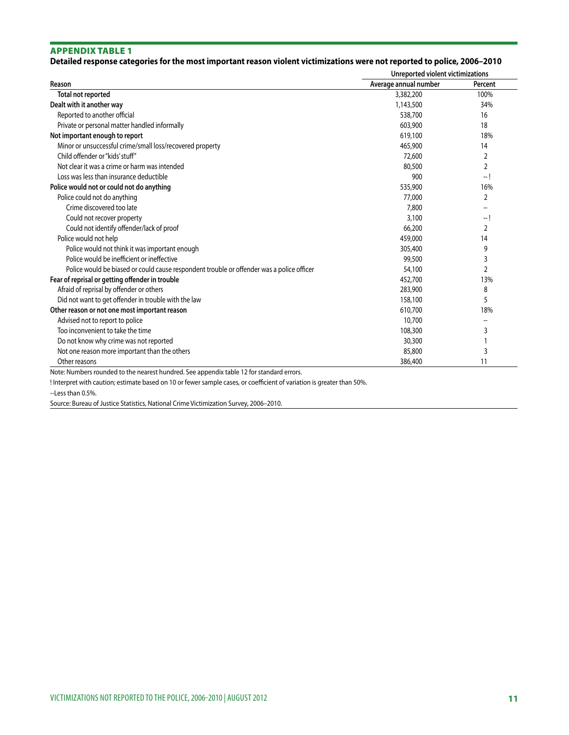#### **Detailed response categories for the most important reason violent victimizations were not reported to police, 2006–2010**

|                                                                                           | Unreported violent victimizations |                          |  |  |
|-------------------------------------------------------------------------------------------|-----------------------------------|--------------------------|--|--|
| Reason                                                                                    | Average annual number             | Percent                  |  |  |
| Total not reported                                                                        | 3,382,200                         | 100%                     |  |  |
| Dealt with it another way                                                                 | 1,143,500                         | 34%                      |  |  |
| Reported to another official                                                              | 538,700                           | 16                       |  |  |
| Private or personal matter handled informally                                             | 603,900                           | 18                       |  |  |
| Not important enough to report                                                            | 619,100                           | 18%                      |  |  |
| Minor or unsuccessful crime/small loss/recovered property                                 | 465,900                           | 14                       |  |  |
| Child offender or "kids' stuff"                                                           | 72,600                            | 2                        |  |  |
| Not clear it was a crime or harm was intended                                             | 80,500                            | 2                        |  |  |
| Loss was less than insurance deductible                                                   | 900                               | -- !                     |  |  |
| Police would not or could not do anything                                                 | 535,900                           | 16%                      |  |  |
| Police could not do anything                                                              | 77,000                            | 2                        |  |  |
| Crime discovered too late                                                                 | 7,800                             |                          |  |  |
| Could not recover property                                                                | 3,100                             | -- !                     |  |  |
| Could not identify offender/lack of proof                                                 | 66,200                            | 2                        |  |  |
| Police would not help                                                                     | 459,000                           | 14                       |  |  |
| Police would not think it was important enough                                            | 305,400                           | 9                        |  |  |
| Police would be inefficient or ineffective                                                | 99,500                            | 3                        |  |  |
| Police would be biased or could cause respondent trouble or offender was a police officer | 54,100                            | 2                        |  |  |
| Fear of reprisal or getting offender in trouble                                           | 452,700                           | 13%                      |  |  |
| Afraid of reprisal by offender or others                                                  | 283,900                           | 8                        |  |  |
| Did not want to get offender in trouble with the law                                      | 158,100                           | 5                        |  |  |
| Other reason or not one most important reason                                             | 610,700                           | 18%                      |  |  |
| Advised not to report to police                                                           | 10,700                            | $\overline{\phantom{a}}$ |  |  |
| Too inconvenient to take the time                                                         | 108,300                           | 3                        |  |  |
| Do not know why crime was not reported                                                    | 30,300                            |                          |  |  |
| Not one reason more important than the others                                             | 85,800                            | 3                        |  |  |
| Other reasons                                                                             | 386.400                           | 11                       |  |  |

Note: Numbers rounded to the nearest hundred. See appendix table 12 for standard errors.

! Interpret with caution; estimate based on 10 or fewer sample cases, or coefficient of variation is greater than 50%.

--Less than 0.5%.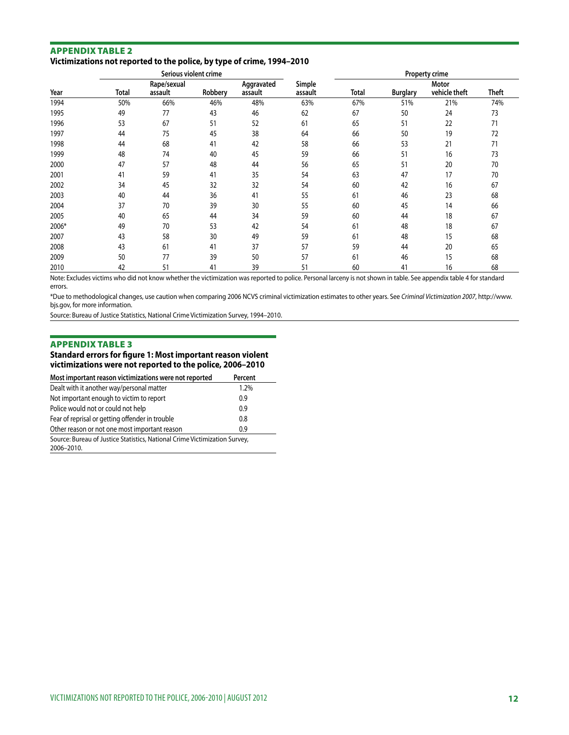#### Appendix table 2 **Victimizations not reported to the police, by type of crime, 1994–2010**

|       |       | Serious violent crime  |         |                       |                   | Property crime |                 |                        |              |
|-------|-------|------------------------|---------|-----------------------|-------------------|----------------|-----------------|------------------------|--------------|
| Year  | Total | Rape/sexual<br>assault | Robbery | Aggravated<br>assault | Simple<br>assault | Total          | <b>Burglary</b> | Motor<br>vehicle theft | <b>Theft</b> |
| 1994  | 50%   | 66%                    | 46%     | 48%                   | 63%               | 67%            | 51%             | 21%                    | 74%          |
| 1995  | 49    | 77                     | 43      | 46                    | 62                | 67             | 50              | 24                     | 73           |
| 1996  | 53    | 67                     | 51      | 52                    | 61                | 65             | 51              | 22                     | 71           |
| 1997  | 44    | 75                     | 45      | 38                    | 64                | 66             | 50              | 19                     | 72           |
| 1998  | 44    | 68                     | 41      | 42                    | 58                | 66             | 53              | 21                     | 71           |
| 1999  | 48    | 74                     | 40      | 45                    | 59                | 66             | 51              | 16                     | 73           |
| 2000  | 47    | 57                     | 48      | 44                    | 56                | 65             | 51              | 20                     | 70           |
| 2001  | 41    | 59                     | 41      | 35                    | 54                | 63             | 47              | 17                     | 70           |
| 2002  | 34    | 45                     | 32      | 32                    | 54                | 60             | 42              | 16                     | 67           |
| 2003  | 40    | 44                     | 36      | 41                    | 55                | 61             | 46              | 23                     | 68           |
| 2004  | 37    | 70                     | 39      | 30                    | 55                | 60             | 45              | 14                     | 66           |
| 2005  | 40    | 65                     | 44      | 34                    | 59                | 60             | 44              | 18                     | 67           |
| 2006* | 49    | 70                     | 53      | 42                    | 54                | 61             | 48              | 18                     | 67           |
| 2007  | 43    | 58                     | 30      | 49                    | 59                | 61             | 48              | 15                     | 68           |
| 2008  | 43    | 61                     | 41      | 37                    | 57                | 59             | 44              | 20                     | 65           |
| 2009  | 50    | 77                     | 39      | 50                    | 57                | 61             | 46              | 15                     | 68           |
| 2010  | 42    | 51                     | 41      | 39                    | 51                | 60             | 41              | 16                     | 68           |

Note: Excludes victims who did not know whether the victimization was reported to police. Personal larceny is not shown in table. See appendix table 4 for standard errors.

\*Due to methodological changes, use caution when comparing 2006 NCVS criminal victimization estimates to other years. See *Criminal Victimization 2007*, http://www. bjs.gov, for more information.

Source: Bureau of Justice Statistics, National Crime Victimization Survey, 1994–2010.

#### Appendix table 3

#### **Standard errors for figure 1: Most important reason violent victimizations were not reported to the police, 2006–2010**

| Most important reason victimizations were not reported                                   | Percent |
|------------------------------------------------------------------------------------------|---------|
| Dealt with it another way/personal matter                                                | 1.2%    |
| Not important enough to victim to report                                                 | 0.9     |
| Police would not or could not help                                                       | 0.9     |
| Fear of reprisal or getting offender in trouble                                          | 0.8     |
| Other reason or not one most important reason                                            | 0.9     |
| Source: Bureau of Justice Statistics, National Crime Victimization Survey,<br>2006-2010. |         |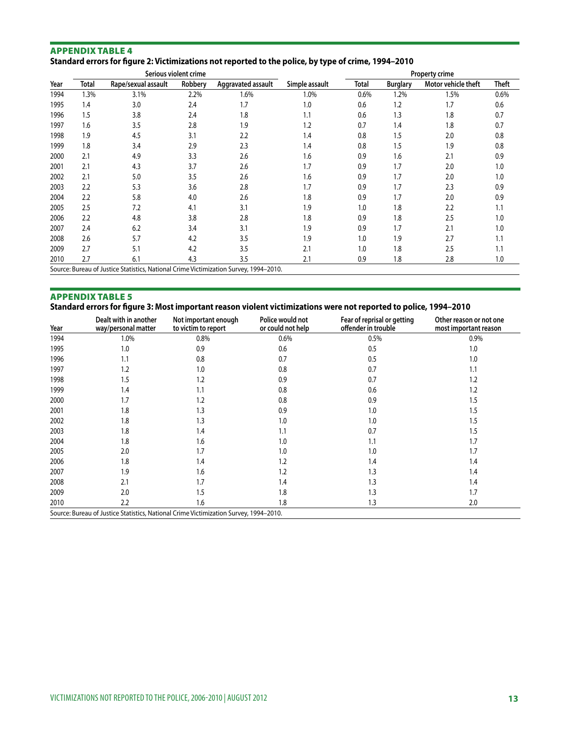#### Appendix table 4 **Standard errors for figure 2: Victimizations not reported to the police, by type of crime, 1994–2010**

|      |       |                                                                                       | Serious violent crime |                    |                | Property crime |                 |                     |       |  |
|------|-------|---------------------------------------------------------------------------------------|-----------------------|--------------------|----------------|----------------|-----------------|---------------------|-------|--|
| Year | Total | Rape/sexual assault                                                                   | Robbery               | Aggravated assault | Simple assault | Total          | <b>Burglary</b> | Motor vehicle theft | Theft |  |
| 1994 | 1.3%  | 3.1%                                                                                  | 2.2%                  | 1.6%               | 1.0%           | 0.6%           | 1.2%            | 1.5%                | 0.6%  |  |
| 1995 | 1.4   | 3.0                                                                                   | 2.4                   | 1.7                | 1.0            | 0.6            | 1.2             | 1.7                 | 0.6   |  |
| 1996 | 1.5   | 3.8                                                                                   | 2.4                   | 1.8                | 1.1            | 0.6            | 1.3             | 1.8                 | 0.7   |  |
| 1997 | 1.6   | 3.5                                                                                   | 2.8                   | 1.9                | 1.2            | 0.7            | 1.4             | 1.8                 | 0.7   |  |
| 1998 | 1.9   | 4.5                                                                                   | 3.1                   | 2.2                | 1.4            | 0.8            | 1.5             | 2.0                 | 0.8   |  |
| 1999 | 1.8   | 3.4                                                                                   | 2.9                   | 2.3                | 1.4            | 0.8            | 1.5             | 1.9                 | 0.8   |  |
| 2000 | 2.1   | 4.9                                                                                   | 3.3                   | 2.6                | 1.6            | 0.9            | 1.6             | 2.1                 | 0.9   |  |
| 2001 | 2.1   | 4.3                                                                                   | 3.7                   | 2.6                | 1.7            | 0.9            | 1.7             | 2.0                 | 1.0   |  |
| 2002 | 2.1   | 5.0                                                                                   | 3.5                   | 2.6                | 1.6            | 0.9            | 1.7             | 2.0                 | 1.0   |  |
| 2003 | 2.2   | 5.3                                                                                   | 3.6                   | 2.8                | 1.7            | 0.9            | 1.7             | 2.3                 | 0.9   |  |
| 2004 | 2.2   | 5.8                                                                                   | 4.0                   | 2.6                | 1.8            | 0.9            | 1.7             | 2.0                 | 0.9   |  |
| 2005 | 2.5   | 7.2                                                                                   | 4.1                   | 3.1                | 1.9            | 1.0            | 1.8             | 2.2                 | 1.1   |  |
| 2006 | 2.2   | 4.8                                                                                   | 3.8                   | 2.8                | 1.8            | 0.9            | 1.8             | 2.5                 | 1.0   |  |
| 2007 | 2.4   | 6.2                                                                                   | 3.4                   | 3.1                | 1.9            | 0.9            | 1.7             | 2.1                 | 1.0   |  |
| 2008 | 2.6   | 5.7                                                                                   | 4.2                   | 3.5                | 1.9            | 1.0            | 1.9             | 2.7                 | 1.1   |  |
| 2009 | 2.7   | 5.1                                                                                   | 4.2                   | 3.5                | 2.1            | 1.0            | 1.8             | 2.5                 | 1.1   |  |
| 2010 | 2.7   | 6.1                                                                                   | 4.3                   | 3.5                | 2.1            | 0.9            | 1.8             | 2.8                 | 1.0   |  |
|      |       | Source: Bureau of Justice Statistics, National Crime Victimization Survey, 1994-2010. |                       |                    |                |                |                 |                     |       |  |

#### Appendix table 5

#### **Standard errors for figure 3: Most important reason violent victimizations were not reported to police, 1994–2010**

| Year | Dealt with in another<br>way/personal matter                                          | Not important enough<br>to victim to report | Police would not<br>or could not help | Fear of reprisal or getting<br>offender in trouble | Other reason or not one<br>most important reason |
|------|---------------------------------------------------------------------------------------|---------------------------------------------|---------------------------------------|----------------------------------------------------|--------------------------------------------------|
| 1994 | 1.0%                                                                                  | 0.8%                                        | $0.6\%$                               | 0.5%                                               | 0.9%                                             |
| 1995 | 1.0                                                                                   | 0.9                                         | 0.6                                   | 0.5                                                | 1.0                                              |
| 1996 | 1.1                                                                                   | 0.8                                         | 0.7                                   | 0.5                                                | 1.0                                              |
| 1997 | 1.2                                                                                   | 1.0                                         | 0.8                                   | 0.7                                                | 1.1                                              |
| 1998 | 1.5                                                                                   | 1.2                                         | 0.9                                   | 0.7                                                | 1.2                                              |
| 1999 | 1.4                                                                                   | 1.1                                         | 0.8                                   | 0.6                                                | 1.2                                              |
| 2000 | 1.7                                                                                   | 1.2                                         | 0.8                                   | 0.9                                                | 1.5                                              |
| 2001 | 1.8                                                                                   | 1.3                                         | 0.9                                   | 1.0                                                | 1.5                                              |
| 2002 | 1.8                                                                                   | 1.3                                         | 1.0                                   | 1.0                                                | 1.5                                              |
| 2003 | 1.8                                                                                   | 1.4                                         | 1.1                                   | 0.7                                                | 1.5                                              |
| 2004 | 1.8                                                                                   | 1.6                                         | 1.0                                   | 1.1                                                | 1.7                                              |
| 2005 | 2.0                                                                                   | 1.7                                         | 1.0                                   | 1.0                                                | 1.7                                              |
| 2006 | 1.8                                                                                   | 1.4                                         | 1.2                                   | 1.4                                                | 1.4                                              |
| 2007 | 1.9                                                                                   | 1.6                                         | 1.2                                   | 1.3                                                | 1.4                                              |
| 2008 | 2.1                                                                                   | 1.7                                         | 1.4                                   | 1.3                                                | 1.4                                              |
| 2009 | 2.0                                                                                   | 1.5                                         | 1.8                                   | 1.3                                                | 1.7                                              |
| 2010 | 2.2                                                                                   | 1.6                                         | 1.8                                   | 1.3                                                | 2.0                                              |
|      | Source: Bureau of Justice Statistics, National Crime Victimization Survey, 1994-2010. |                                             |                                       |                                                    |                                                  |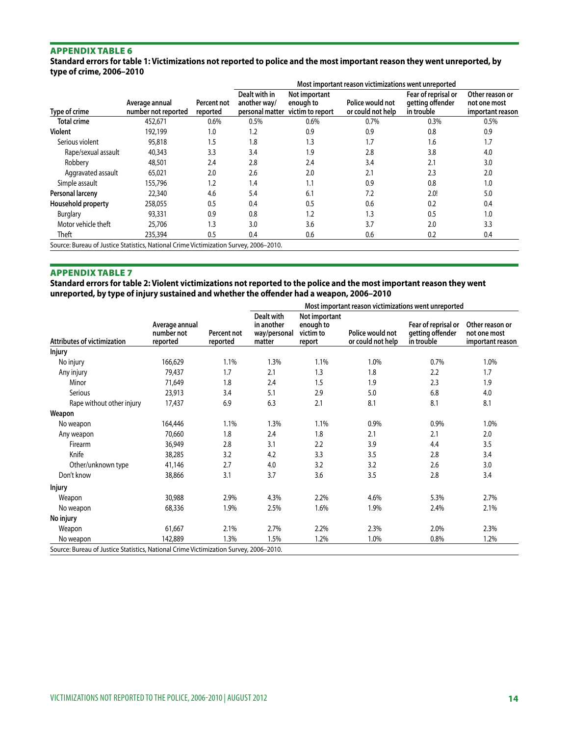**Standard errors for table 1: Victimizations not reported to police and the most important reason they went unreported, by type of crime, 2006–2010**

|                                                                                       |                                       |                         | Most important reason victimizations went unreported |                                                |                                       |                                                       |                                                     |  |  |
|---------------------------------------------------------------------------------------|---------------------------------------|-------------------------|------------------------------------------------------|------------------------------------------------|---------------------------------------|-------------------------------------------------------|-----------------------------------------------------|--|--|
| Type of crime                                                                         | Average annual<br>number not reported | Percent not<br>reported | Dealt with in<br>another way/<br>personal matter     | Not important<br>enough to<br>victim to report | Police would not<br>or could not help | Fear of reprisal or<br>getting offender<br>in trouble | Other reason or<br>not one most<br>important reason |  |  |
| <b>Total crime</b>                                                                    | 452,671                               | 0.6%                    | 0.5%                                                 | 0.6%                                           | 0.7%                                  | 0.3%                                                  | 0.5%                                                |  |  |
| Violent                                                                               | 192,199                               | 1.0                     | 1.2                                                  | 0.9                                            | 0.9                                   | 0.8                                                   | 0.9                                                 |  |  |
| Serious violent                                                                       | 95,818                                | 1.5                     | 1.8                                                  | 1.3                                            | 1.7                                   | 1.6                                                   | 1.7                                                 |  |  |
| Rape/sexual assault                                                                   | 40,343                                | 3.3                     | 3.4                                                  | 1.9                                            | 2.8                                   | 3.8                                                   | 4.0                                                 |  |  |
| Robbery                                                                               | 48,501                                | 2.4                     | 2.8                                                  | 2.4                                            | 3.4                                   | 2.1                                                   | 3.0                                                 |  |  |
| Aggravated assault                                                                    | 65,021                                | 2.0                     | 2.6                                                  | 2.0                                            | 2.1                                   | 2.3                                                   | 2.0                                                 |  |  |
| Simple assault                                                                        | 155.796                               | 1.2                     | 1.4                                                  | 1.1                                            | 0.9                                   | 0.8                                                   | 1.0                                                 |  |  |
| Personal larceny                                                                      | 22,340                                | 4.6                     | 5.4                                                  | 6.1                                            | 7.2                                   | 2.0!                                                  | 5.0                                                 |  |  |
| Household property                                                                    | 258,055                               | 0.5                     | 0.4                                                  | 0.5                                            | 0.6                                   | 0.2                                                   | 0.4                                                 |  |  |
| <b>Burglary</b>                                                                       | 93,331                                | 0.9                     | 0.8                                                  | 1.2                                            | 1.3                                   | 0.5                                                   | 1.0                                                 |  |  |
| Motor vehicle theft                                                                   | 25,706                                | 1.3                     | 3.0                                                  | 3.6                                            | 3.7                                   | 2.0                                                   | 3.3                                                 |  |  |
| Theft                                                                                 | 235,394                               | 0.5                     | 0.4                                                  | 0.6                                            | 0.6                                   | 0.2                                                   | 0.4                                                 |  |  |
| Source: Bureau of Justice Statistics, National Crime Victimization Survey, 2006-2010. |                                       |                         |                                                      |                                                |                                       |                                                       |                                                     |  |  |

#### Appendix table 7

**Standard errors for table 2: Violent victimizations not reported to the police and the most important reason they went unreported, by type of injury sustained and whether the offender had a weapon, 2006–2010**

| Most important reason victimizations went unreported                                  |                                          |                         |                                                    |                                                   |                                       |                                                       |                                                     |
|---------------------------------------------------------------------------------------|------------------------------------------|-------------------------|----------------------------------------------------|---------------------------------------------------|---------------------------------------|-------------------------------------------------------|-----------------------------------------------------|
| <b>Attributes of victimization</b>                                                    | Average annual<br>number not<br>reported | Percent not<br>reported | Dealt with<br>in another<br>way/personal<br>matter | Not important<br>enough to<br>victim to<br>report | Police would not<br>or could not help | Fear of reprisal or<br>getting offender<br>in trouble | Other reason or<br>not one most<br>important reason |
| <b>Injury</b>                                                                         |                                          |                         |                                                    |                                                   |                                       |                                                       |                                                     |
| No injury                                                                             | 166,629                                  | 1.1%                    | 1.3%                                               | 1.1%                                              | 1.0%                                  | 0.7%                                                  | 1.0%                                                |
| Any injury                                                                            | 79,437                                   | 1.7                     | 2.1                                                | 1.3                                               | 1.8                                   | 2.2                                                   | 1.7                                                 |
| Minor                                                                                 | 71,649                                   | 1.8                     | 2.4                                                | 1.5                                               | 1.9                                   | 2.3                                                   | 1.9                                                 |
| Serious                                                                               | 23,913                                   | 3.4                     | 5.1                                                | 2.9                                               | 5.0                                   | 6.8                                                   | 4.0                                                 |
| Rape without other injury                                                             | 17,437                                   | 6.9                     | 6.3                                                | 2.1                                               | 8.1                                   | 8.1                                                   | 8.1                                                 |
| Weapon                                                                                |                                          |                         |                                                    |                                                   |                                       |                                                       |                                                     |
| No weapon                                                                             | 164,446                                  | 1.1%                    | 1.3%                                               | 1.1%                                              | 0.9%                                  | 0.9%                                                  | 1.0%                                                |
| Any weapon                                                                            | 70,660                                   | 1.8                     | 2.4                                                | 1.8                                               | 2.1                                   | 2.1                                                   | 2.0                                                 |
| Firearm                                                                               | 36,949                                   | 2.8                     | 3.1                                                | 2.2                                               | 3.9                                   | 4.4                                                   | 3.5                                                 |
| Knife                                                                                 | 38,285                                   | 3.2                     | 4.2                                                | 3.3                                               | 3.5                                   | 2.8                                                   | 3.4                                                 |
| Other/unknown type                                                                    | 41,146                                   | 2.7                     | 4.0                                                | 3.2                                               | 3.2                                   | 2.6                                                   | 3.0                                                 |
| Don't know                                                                            | 38,866                                   | 3.1                     | 3.7                                                | 3.6                                               | 3.5                                   | 2.8                                                   | 3.4                                                 |
| <b>Injury</b>                                                                         |                                          |                         |                                                    |                                                   |                                       |                                                       |                                                     |
| Weapon                                                                                | 30,988                                   | 2.9%                    | 4.3%                                               | 2.2%                                              | 4.6%                                  | 5.3%                                                  | 2.7%                                                |
| No weapon                                                                             | 68,336                                   | 1.9%                    | 2.5%                                               | 1.6%                                              | 1.9%                                  | 2.4%                                                  | 2.1%                                                |
| No injury                                                                             |                                          |                         |                                                    |                                                   |                                       |                                                       |                                                     |
| Weapon                                                                                | 61,667                                   | 2.1%                    | 2.7%                                               | 2.2%                                              | 2.3%                                  | 2.0%                                                  | 2.3%                                                |
| No weapon                                                                             | 142,889                                  | 1.3%                    | 1.5%                                               | 1.2%                                              | 1.0%                                  | 0.8%                                                  | 1.2%                                                |
| Source: Bureau of Justice Statistics, National Crime Victimization Survey, 2006-2010. |                                          |                         |                                                    |                                                   |                                       |                                                       |                                                     |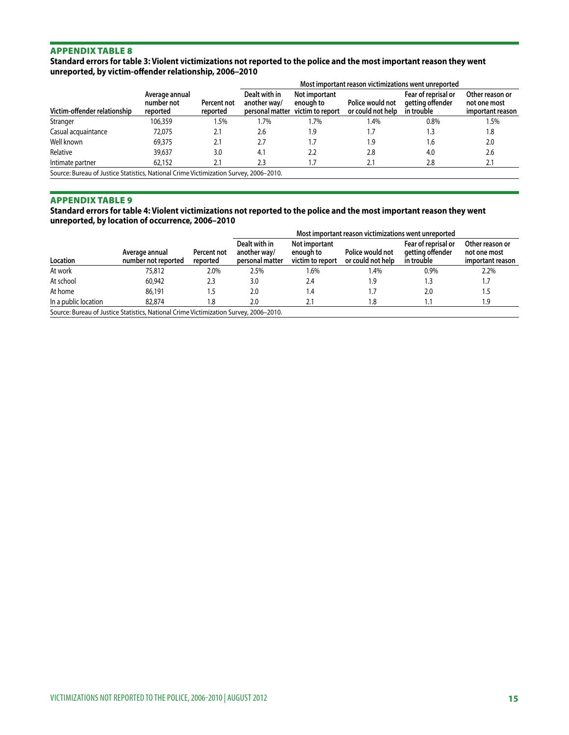#### **Standard errors for table 3: Violent victimizations not reported to the police and the most important reason they went unreported, by victim-offender relationship, 2006–2010**

|                                                                                       |                                          |                         |                               |                                                                       |                                       | Most important reason victimizations went unreported  |                                                     |  |  |  |
|---------------------------------------------------------------------------------------|------------------------------------------|-------------------------|-------------------------------|-----------------------------------------------------------------------|---------------------------------------|-------------------------------------------------------|-----------------------------------------------------|--|--|--|
| Victim-offender relationship                                                          | Average annual<br>number not<br>reported | Percent not<br>reported | Dealt with in<br>another way/ | <b>Not important</b><br>enough to<br>personal matter victim to report | Police would not<br>or could not help | Fear of reprisal or<br>aetting offender<br>in trouble | Other reason or<br>not one most<br>important reason |  |  |  |
| Stranger                                                                              | 106.359                                  | 1.5%                    | 1.7%                          | 1.7%                                                                  | 1.4%                                  | 0.8%                                                  | 1.5%                                                |  |  |  |
| Casual acquaintance                                                                   | 72,075                                   | 2.1                     | 2.6                           | 1.9                                                                   |                                       | 1.3                                                   | 1.8                                                 |  |  |  |
| Well known                                                                            | 69,375                                   | 2.1                     | 2.7                           | 1.7                                                                   | 1.9                                   | 1.6                                                   | 2.0                                                 |  |  |  |
| Relative                                                                              | 39,637                                   | 3.0                     | 4.1                           | 2.2                                                                   | 2.8                                   | 4.0                                                   | 2.6                                                 |  |  |  |
| Intimate partner                                                                      | 62.152                                   | 2.1                     | 2.3                           | .7                                                                    | 2.1                                   | 2.8                                                   | 2.1                                                 |  |  |  |
| Source: Bureau of Justice Statistics, National Crime Victimization Survey, 2006–2010. |                                          |                         |                               |                                                                       |                                       |                                                       |                                                     |  |  |  |

#### Appendix table 9

**Standard errors for table 4: Violent victimizations not reported to the police and the most important reason they went unreported, by location of occurrence, 2006–2010**

|                      |                                                                                     |                         |                                                  |                                                | Most important reason victimizations went unreported |                                                       |                                                     |
|----------------------|-------------------------------------------------------------------------------------|-------------------------|--------------------------------------------------|------------------------------------------------|------------------------------------------------------|-------------------------------------------------------|-----------------------------------------------------|
| Location             | Average annual<br>number not reported                                               | Percent not<br>reported | Dealt with in<br>another way/<br>personal matter | Not important<br>enough to<br>victim to report | Police would not<br>or could not help                | Fear of reprisal or<br>getting offender<br>in trouble | Other reason or<br>not one most<br>important reason |
| At work              | 75,812                                                                              | 2.0%                    | 2.5%                                             | 1.6%                                           | .4%                                                  | 0.9%                                                  | 2.2%                                                |
| At school            | 60.942                                                                              | 2.3                     | 3.0                                              | 2.4                                            | 1.9                                                  | 3. ا                                                  | 1.7                                                 |
| At home              | 86,191                                                                              | د.،                     | 2.0                                              | 4.۱                                            | . 7                                                  | 2.0                                                   | 1.5                                                 |
| In a public location | 82,874                                                                              | 1.8                     | 2.0                                              |                                                | 8.ا                                                  |                                                       | 1.9                                                 |
|                      | Source: Rureau of Justice Statistics, National Crime Victimization Survey 2006-2010 |                         |                                                  |                                                |                                                      |                                                       |                                                     |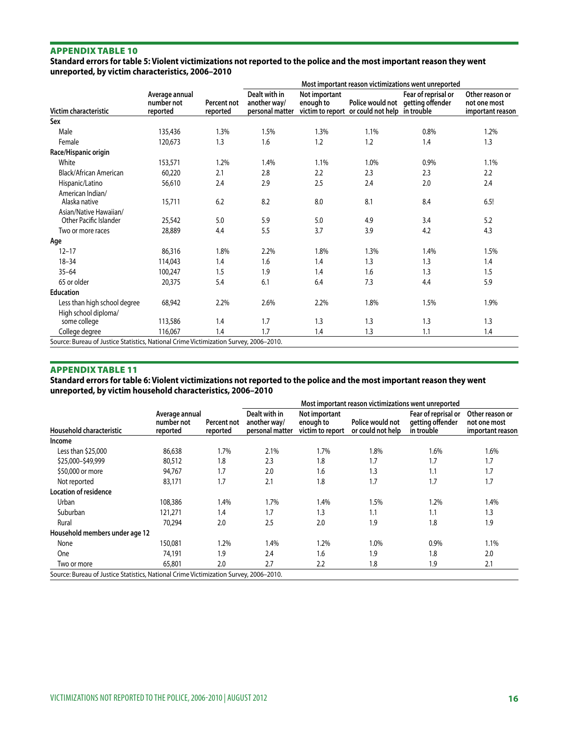**Standard errors for table 5: Violent victimizations not reported to the police and the most important reason they went unreported, by victim characteristics, 2006–2010**

|                                                             |                                          |                         | Most important reason victimizations went unreported |                            |                                               |                                                          |                                                     |  |  |
|-------------------------------------------------------------|------------------------------------------|-------------------------|------------------------------------------------------|----------------------------|-----------------------------------------------|----------------------------------------------------------|-----------------------------------------------------|--|--|
| Victim characteristic                                       | Average annual<br>number not<br>reported | Percent not<br>reported | Dealt with in<br>another way/<br>personal matter     | Not important<br>enough to | victim to report or could not help in trouble | Fear of reprisal or<br>Police would not getting offender | Other reason or<br>not one most<br>important reason |  |  |
| Sex                                                         |                                          |                         |                                                      |                            |                                               |                                                          |                                                     |  |  |
| Male                                                        | 135,436                                  | 1.3%                    | 1.5%                                                 | 1.3%                       | 1.1%                                          | 0.8%                                                     | 1.2%                                                |  |  |
| Female                                                      | 120,673                                  | 1.3                     | 1.6                                                  | 1.2                        | 1.2                                           | 1.4                                                      | 1.3                                                 |  |  |
| Race/Hispanic origin                                        |                                          |                         |                                                      |                            |                                               |                                                          |                                                     |  |  |
| White                                                       | 153,571                                  | 1.2%                    | 1.4%                                                 | 1.1%                       | 1.0%                                          | 0.9%                                                     | 1.1%                                                |  |  |
| Black/African American                                      | 60,220                                   | 2.1                     | 2.8                                                  | 2.2                        | 2.3                                           | 2.3                                                      | 2.2                                                 |  |  |
| Hispanic/Latino                                             | 56,610                                   | 2.4                     | 2.9                                                  | 2.5                        | 2.4                                           | 2.0                                                      | 2.4                                                 |  |  |
| American Indian/<br>Alaska native<br>Asian/Native Hawaiian/ | 15,711                                   | 6.2                     | 8.2                                                  | 8.0                        | 8.1                                           | 8.4                                                      | 6.5!                                                |  |  |
| Other Pacific Islander                                      | 25,542                                   | 5.0                     | 5.9                                                  | 5.0                        | 4.9                                           | 3.4                                                      | 5.2                                                 |  |  |
| Two or more races                                           | 28,889                                   | 4.4                     | 5.5                                                  | 3.7                        | 3.9                                           | 4.2                                                      | 4.3                                                 |  |  |
| Age                                                         |                                          |                         |                                                      |                            |                                               |                                                          |                                                     |  |  |
| $12 - 17$                                                   | 86,316                                   | 1.8%                    | 2.2%                                                 | 1.8%                       | 1.3%                                          | 1.4%                                                     | 1.5%                                                |  |  |
| $18 - 34$                                                   | 114,043                                  | 1.4                     | 1.6                                                  | 1.4                        | 1.3                                           | 1.3                                                      | 1.4                                                 |  |  |
| $35 - 64$                                                   | 100,247                                  | 1.5                     | 1.9                                                  | 1.4                        | 1.6                                           | 1.3                                                      | 1.5                                                 |  |  |
| 65 or older                                                 | 20,375                                   | 5.4                     | 6.1                                                  | 6.4                        | 7.3                                           | 4.4                                                      | 5.9                                                 |  |  |
| <b>Education</b>                                            |                                          |                         |                                                      |                            |                                               |                                                          |                                                     |  |  |
| Less than high school degree<br>High school diploma/        | 68,942                                   | 2.2%                    | 2.6%                                                 | 2.2%                       | 1.8%                                          | 1.5%                                                     | 1.9%                                                |  |  |
| some college                                                | 113,586                                  | 1.4                     | 1.7                                                  | 1.3                        | 1.3                                           | 1.3                                                      | 1.3                                                 |  |  |
| College degree                                              | 116,067                                  | 1.4                     | 1.7                                                  | 1.4                        | 1.3                                           | 1.1                                                      | 1.4                                                 |  |  |

Source: Bureau of Justice Statistics, National Crime Victimization Survey, 2006–2010.

#### Appendix table 11

**Standard errors for table 6: Violent victimizations not reported to the police and the most important reason they went unreported, by victim household characteristics, 2006–2010**

|                                                                                       |                                          |                         | Most important reason victimizations went unreported |                                                |                                       |                                                       |                                                     |  |  |
|---------------------------------------------------------------------------------------|------------------------------------------|-------------------------|------------------------------------------------------|------------------------------------------------|---------------------------------------|-------------------------------------------------------|-----------------------------------------------------|--|--|
| Household characteristic                                                              | Average annual<br>number not<br>reported | Percent not<br>reported | Dealt with in<br>another way/<br>personal matter     | Not important<br>enough to<br>victim to report | Police would not<br>or could not help | Fear of reprisal or<br>getting offender<br>in trouble | Other reason or<br>not one most<br>important reason |  |  |
| Income                                                                                |                                          |                         |                                                      |                                                |                                       |                                                       |                                                     |  |  |
| Less than \$25,000                                                                    | 86,638                                   | 1.7%                    | 2.1%                                                 | 1.7%                                           | 1.8%                                  | 1.6%                                                  | 1.6%                                                |  |  |
| \$25,000-\$49,999                                                                     | 80,512                                   | 1.8                     | 2.3                                                  | 1.8                                            | 1.7                                   | 1.7                                                   | 1.7                                                 |  |  |
| \$50,000 or more                                                                      | 94,767                                   | 1.7                     | 2.0                                                  | 1.6                                            | 1.3                                   | 1.1                                                   | 1.7                                                 |  |  |
| Not reported                                                                          | 83,171                                   | 1.7                     | 2.1                                                  | 1.8                                            | 1.7                                   | 1.7                                                   | 1.7                                                 |  |  |
| <b>Location of residence</b>                                                          |                                          |                         |                                                      |                                                |                                       |                                                       |                                                     |  |  |
| Urban                                                                                 | 108,386                                  | 1.4%                    | 1.7%                                                 | 1.4%                                           | 1.5%                                  | 1.2%                                                  | 1.4%                                                |  |  |
| Suburban                                                                              | 121,271                                  | 1.4                     | 1.7                                                  | 1.3                                            | 1.1                                   | 1.1                                                   | 1.3                                                 |  |  |
| Rural                                                                                 | 70.294                                   | 2.0                     | 2.5                                                  | 2.0                                            | 1.9                                   | 1.8                                                   | 1.9                                                 |  |  |
| Household members under age 12                                                        |                                          |                         |                                                      |                                                |                                       |                                                       |                                                     |  |  |
| None                                                                                  | 150,081                                  | $1.2\%$                 | 1.4%                                                 | 1.2%                                           | 1.0%                                  | 0.9%                                                  | 1.1%                                                |  |  |
| One                                                                                   | 74,191                                   | 1.9                     | 2.4                                                  | 1.6                                            | 1.9                                   | 1.8                                                   | 2.0                                                 |  |  |
| Two or more                                                                           | 65,801                                   | 2.0                     | 2.7                                                  | 2.2                                            | 1.8                                   | 1.9                                                   | 2.1                                                 |  |  |
| Source: Bureau of Justice Statistics, National Crime Victimization Survey, 2006-2010. |                                          |                         |                                                      |                                                |                                       |                                                       |                                                     |  |  |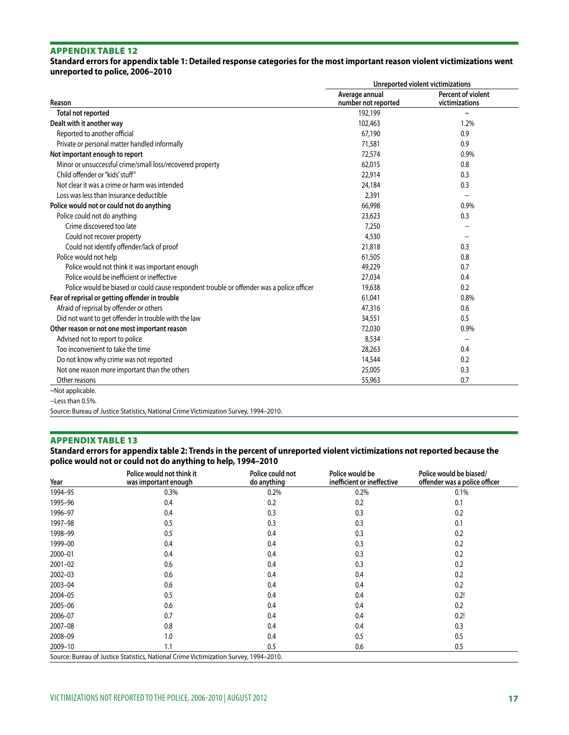**Standard errors for appendix table 1: Detailed response categories for the most important reason violent victimizations went unreported to police, 2006–2010**

|                                                                                           | Unreported violent victimizations     |                                      |  |  |  |
|-------------------------------------------------------------------------------------------|---------------------------------------|--------------------------------------|--|--|--|
| Reason                                                                                    | Average annual<br>number not reported | Percent of violent<br>victimizations |  |  |  |
| Total not reported                                                                        | 192,199                               | $\thicksim$                          |  |  |  |
| Dealt with it another way                                                                 | 102,463                               | 1.2%                                 |  |  |  |
| Reported to another official                                                              | 67,190                                | 0.9                                  |  |  |  |
| Private or personal matter handled informally                                             | 71,581                                | 0.9                                  |  |  |  |
| Not important enough to report                                                            | 72,574                                | 0.9%                                 |  |  |  |
| Minor or unsuccessful crime/small loss/recovered property                                 | 62,015                                | 0.8                                  |  |  |  |
| Child offender or "kids' stuff"                                                           | 22,914                                | 0.3                                  |  |  |  |
| Not clear it was a crime or harm was intended                                             | 24,184                                | 0.3                                  |  |  |  |
| Loss was less than insurance deductible                                                   | 2,391                                 |                                      |  |  |  |
| Police would not or could not do anything                                                 | 66,998                                | 0.9%                                 |  |  |  |
| Police could not do anything                                                              | 23,623                                | 0.3                                  |  |  |  |
| Crime discovered too late                                                                 | 7,250                                 |                                      |  |  |  |
| Could not recover property                                                                | 4,530                                 |                                      |  |  |  |
| Could not identify offender/lack of proof                                                 | 21,818                                | 0.3                                  |  |  |  |
| Police would not help                                                                     | 61,505                                | 0.8                                  |  |  |  |
| Police would not think it was important enough                                            | 49,229                                | 0.7                                  |  |  |  |
| Police would be inefficient or ineffective                                                | 27,034                                | 0.4                                  |  |  |  |
| Police would be biased or could cause respondent trouble or offender was a police officer | 19,638                                | 0.2                                  |  |  |  |
| Fear of reprisal or getting offender in trouble                                           | 61,041                                | 0.8%                                 |  |  |  |
| Afraid of reprisal by offender or others                                                  | 47,316                                | 0.6                                  |  |  |  |
| Did not want to get offender in trouble with the law                                      | 34,551                                | 0.5                                  |  |  |  |
| Other reason or not one most important reason                                             | 72,030                                | 0.9%                                 |  |  |  |
| Advised not to report to police                                                           | 8,534                                 | --                                   |  |  |  |
| Too inconvenient to take the time                                                         | 28,263                                | 0.4                                  |  |  |  |
| Do not know why crime was not reported                                                    | 14,544                                | 0.2                                  |  |  |  |
| Not one reason more important than the others                                             | 25,005                                | 0.3                                  |  |  |  |
| Other reasons                                                                             | 55,963                                | 0.7                                  |  |  |  |
| ~Not applicable.                                                                          |                                       |                                      |  |  |  |

--Less than 0.5%.

Source: Bureau of Justice Statistics, National Crime Victimization Survey, 1994–2010.

#### Appendix table 13

#### **Standard errors for appendix table 2: Trends in the percent of unreported violent victimizations not reported because the police would not or could not do anything to help, 1994–2010**

| Year        | Police would not think it<br>was important enough                                     | Police could not<br>do anything | Police would be<br>inefficient or ineffective | Police would be biased/<br>offender was a police officer |
|-------------|---------------------------------------------------------------------------------------|---------------------------------|-----------------------------------------------|----------------------------------------------------------|
| 1994-95     | 0.3%                                                                                  | 0.2%                            | 0.2%                                          | 0.1%                                                     |
| 1995-96     | 0.4                                                                                   | 0.2                             | 0.2                                           | 0.1                                                      |
| 1996-97     | 0.4                                                                                   | 0.3                             | 0.3                                           | 0.2                                                      |
| 1997-98     | 0.5                                                                                   | 0.3                             | 0.3                                           | 0.1                                                      |
| 1998-99     | 0.5                                                                                   | 0.4                             | 0.3                                           | 0.2                                                      |
| 1999-00     | 0.4                                                                                   | 0.4                             | 0.3                                           | 0.2                                                      |
| 2000-01     | 0.4                                                                                   | 0.4                             | 0.3                                           | 0.2                                                      |
| $2001 - 02$ | 0.6                                                                                   | 0.4                             | 0.3                                           | 0.2                                                      |
| $2002 - 03$ | 0.6                                                                                   | 0.4                             | 0.4                                           | 0.2                                                      |
| 2003-04     | 0.6                                                                                   | 0.4                             | 0.4                                           | 0.2                                                      |
| 2004-05     | 0.5                                                                                   | 0.4                             | 0.4                                           | 0.2!                                                     |
| 2005-06     | 0.6                                                                                   | 0.4                             | 0.4                                           | 0.2                                                      |
| 2006-07     | 0.7                                                                                   | 0.4                             | 0.4                                           | 0.2!                                                     |
| 2007-08     | 0.8                                                                                   | 0.4                             | 0.4                                           | 0.3                                                      |
| 2008-09     | 1.0                                                                                   | 0.4                             | 0.5                                           | 0.5                                                      |
| 2009-10     | 1.1                                                                                   | 0.5                             | 0.6                                           | 0.5                                                      |
|             | Source: Bureau of Justice Statistics, National Crime Victimization Survey, 1994-2010. |                                 |                                               |                                                          |